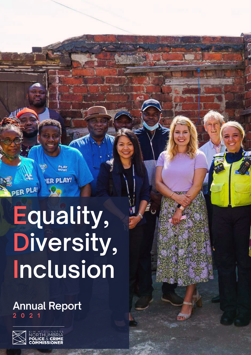**Equality, Diversity, Inclusion**

**PLAY**<br>NOW!

ER PLAY!

### **Annual Report 2 0 2 1**



PER PLA!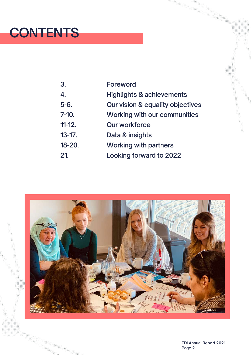# **CONTENTS**

| 3.          | <b>Foreword</b>                      |
|-------------|--------------------------------------|
| 4.          | <b>Highlights &amp; achievements</b> |
| $5 - 6.$    | Our vision & equality objectives     |
| $7 - 10.$   | <b>Working with our communities</b>  |
| $11-12.$    | <b>Our workforce</b>                 |
| $13 - 17$ . | Data & insights                      |
| $18 - 20.$  | <b>Working with partners</b>         |
| 21.         | Looking forward to 2022              |

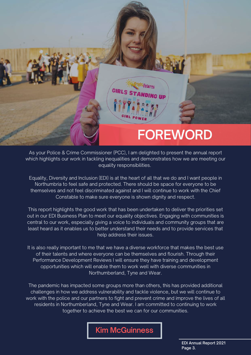

As your Police & Crime Commissioner (PCC), I am delighted to present the annual report which highlights our work in tackling inequalities and demonstrates how we are meeting our equality responsibilities.

Equality, Diversity and Inclusion (EDI) is at the heart of all that we do and I want people in Northumbria to feel safe and protected. There should be space for everyone to be themselves and not feel discriminated against and I will continue to work with the Chief Constable to make sure everyone is shown dignity and respect.

This report highlights the good work that has been undertaken to deliver the priorities set out in our EDI Business Plan to meet our equality objectives. Engaging with communities is central to our work, especially giving a voice to individuals and community groups that are least heard as it enables us to better understand their needs and to provide services that help address their issues.

It is also really important to me that we have a diverse workforce that makes the best use of their talents and where everyone can be themselves and flourish. Through their Performance Development Reviews I will ensure they have training and development opportunities which will enable them to work well with diverse communities in Northumberland, Tyne and Wear.

The pandemic has impacted some groups more than others, this has provided additional challenges in how we address vulnerability and tackle violence, but we will continue to work with the police and our partners to fight and prevent crime and improve the lives of all residents in Northumberland, Tyne and Wear. I am committed to continuing to work together to achieve the best we can for our communities.

**Kim McGuinness**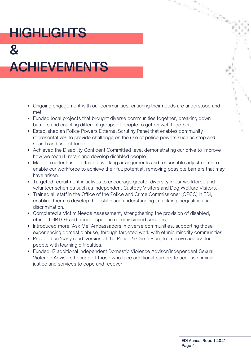# **HIGHLIGHTS**

# **& ACHIEVEMENTS**

- Ongoing engagement with our communities, ensuring their needs are understood and met.
- Funded local projects that brought diverse communities together, breaking down barriers and enabling different groups of people to get on well together.
- Established an Police Powers External Scrutiny Panel that enables community representatives to provide challenge on the use of police powers such as stop and search and use of force.
- Achieved the Disability Confident Committed level demonstrating our drive to improve how we recruit, retain and develop disabled people.
- Made excellent use of flexible working arrangements and reasonable adjustments to enable our workforce to achieve their full potential, removing possible barriers that may have arisen.
- Targeted recruitment initiatives to encourage greater diversity in our workforce and volunteer schemes such as Independent Custody Visitors and Dog Welfare Visitors.
- Trained all staff in the Office of the Police and Crime Commissioner (OPCC) in EDI, enabling them to develop their skills and understanding in tackling inequalities and discrimination.
- Completed a Victim Needs Assessment, strengthening the provision of disabled, ethnic, LGBTQ+ and gender specific commissioned services.
- Introduced more 'Ask Me' Ambassadors in diverse communities, supporting those experiencing domestic abuse, through targeted work with ethnic minority communities.
- Provided an 'easy read' version of the Police & Crime Plan, to improve access for people with learning difficulties.
- Funded 17 additional Independent Domestic Violence Advisor/Independent Sexual Violence Advisors to support those who face additional barriers to access criminal justice and services to cope and recover.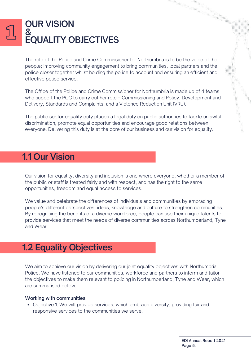### **OUR VISION & EQUALITY OBJECTIVES**

The role of the Police and Crime Commissioner for Northumbria is to be the voice of the people; improving community engagement to bring communities, local partners and the police closer together whilst holding the police to account and ensuring an efficient and effective police service.

The Office of the Police and Crime Commissioner for Northumbria is made up of 4 teams who support the PCC to carry out her role – Commissioning and Policy, Development and Delivery, Standards and Complaints, and a Violence Reduction Unit (VRU).

The public sector equality duty places a legal duty on public authorities to tackle unlawful discrimination, promote equal opportunities and encourage good relations between everyone. Delivering this duty is at the core of our business and our vision for equality.

# **1.1 Our Vision**

Our vision for equality, diversity and inclusion is one where everyone, whether a member of the public or staff is treated fairly and with respect, and has the right to the same opportunities, freedom and equal access to services.

We value and celebrate the differences of individuals and communities by embracing people's different perspectives, ideas, knowledge and culture to strengthen communities. By recognising the benefits of a diverse workforce, people can use their unique talents to provide services that meet the needs of diverse communities across Northumberland, Tyne and Wear.

### **1.2 Equality Objectives**

We aim to achieve our vision by delivering our joint equality objectives with Northumbria Police. We have listened to our communities, workforce and partners to inform and tailor the objectives to make them relevant to policing in Northumberland, Tyne and Wear, which are summarised below.

### Working with communities

Objective 1: We will provide services, which embrace diversity, providing fair and responsive services to the communities we serve.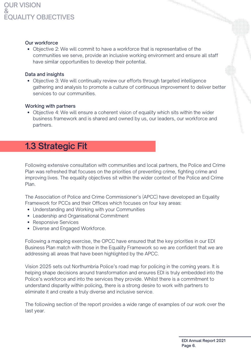### **OUR VISION & EQUALITY OBJECTIVES**

### Our workforce

Objective 2: We will commit to have a workforce that is representative of the communities we serve, provide an inclusive working environment and ensure all staff have similar opportunities to develop their potential.

### Data and insights

Objective 3: We will continually review our efforts through targeted intelligence gathering and analysis to promote a culture of continuous improvement to deliver better services to our communities.

### Working with partners

Objective 4: We will ensure a coherent vision of equality which sits within the wider business framework and is shared and owned by us, our leaders, our workforce and partners.

# **1.3 Strategic Fit**

Following extensive consultation with communities and local partners, the Police and Crime Plan was refreshed that focuses on the priorities of preventing crime, fighting crime and improving lives. The equality objectives sit within the wider context of the Police and Crime Plan.

The Association of Police and Crime Commissioner's (APCC) have developed an Equality Framework for PCCs and their Offices which focuses on four key areas:

- Understanding and Working with your Communities
- Leadership and Organisational Commitment
- Responsive Services
- Diverse and Engaged Workforce.

Following a mapping exercise, the OPCC have ensured that the key priorities in our EDI Business Plan match with those in the Equality Framework so we are confident that we are addressing all areas that have been highlighted by the APCC.

Vision 2025 sets out Northumbria Police's road map for policing in the coming years. It is helping shape decisions around transformation and ensures EDI is truly embedded into the Police's workforce and into the services they provide. Whilst there is a commitment to understand disparity within policing, there is a strong desire to work with partners to eliminate it and create a truly diverse and inclusive service.

The following section of the report provides a wide range of examples of our work over the last year.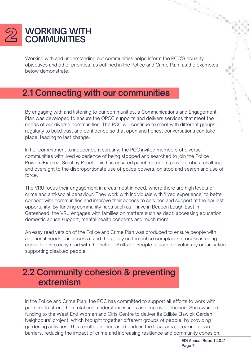

Working with and understanding our communities helps inform the PCC'S equality objectives and other priorities, as outlined in the Police and Crime Plan, as the examples below demonstrate.

# **2.1 Connecting with our communities**

By engaging with and listening to our communities, a Communications and Engagement Plan was developed to ensure the OPCC supports and delivers services that meet the needs of our diverse communities. The PCC will continue to meet with different groups regularly to build trust and confidence so that open and honest conversations can take place, leading to last change.

In her commitment to independent scrutiny, the PCC invited members of diverse communities with lived experience of being stopped and searched to join the Police Powers External Scrutiny Panel. This has ensured panel members provide robust challenge and oversight to the disproportionate use of police powers, on stop and search and use of force.

The VRU focus their engagement in areas most in need, where there are high levels of crime and anti-social behaviour. They work with individuals with 'lived experience' to better connect with communities and improve their access to services and support at the earliest opportunity. By funding community hubs such as Thrive in Beacon Lough East in Gateshead, the VRU engages with families on matters such as debt, accessing education, domestic abuse support, mental health concerns and much more.

An easy read version of the Police and Crime Plan was produced to ensure people with additional needs can access it and the policy on the police complaints process is being converted into easy read with the help of Skills for People, a user led voluntary organisation supporting disabled people.

### **2.2 Community cohesion & preventing extremism**

In the Police and Crime Plan, the PCC has committed to support all efforts to work with partners to strengthen relations, understand issues and improve cohesion. She awarded funding to the West End Women and Girls Centre to deliver its Edible Elswick Garden Neighbours' project, which brought together different groups of people, by providing gardening activities. This resulted in increased pride in the local area, breaking down barriers, reducing the impact of crime and increasing resilience and community cohesion.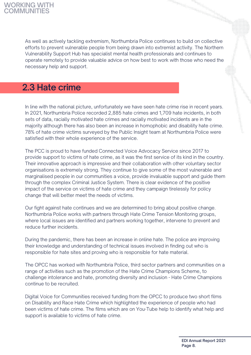As well as actively tackling extremism, Northumbria Police continues to build on collective efforts to prevent vulnerable people from being drawn into extremist activity. The Northern Vulnerability Support Hub has specialist mental health professionals and continues to operate remotely to provide valuable advice on how best to work with those who need the necessary help and support.

# **2.3 Hate crime**

In line with the national picture, unfortunately we have seen hate crime rise in recent years. In 2021, Northumbria Police recorded 2,885 hate crimes and 1,709 hate incidents, in both sets of data, racially motivated hate crimes and racially motivated incidents are in the majority although there has also been an increase in homophobic and disability hate crime. 78% of hate crime victims surveyed by the Public Insight team at Northumbria Police were satisfied with their whole experience of the service.

The PCC is proud to have funded Connected Voice Advocacy Service since 2017 to provide support to victims of hate crime, as it was the first service of its kind in the country. Their innovative approach is impressive and their collaboration with other voluntary sector organisations is extremely strong. They continue to give some of the most vulnerable and marginalised people in our communities a voice, provide invaluable support and guide them through the complex Criminal Justice System. There is clear evidence of the positive impact of the service on victims of hate crime and they campaign tirelessly for policy change that will better meet the needs of victims.

Our fight against hate continues and we are determined to bring about positive change. Northumbria Police works with partners through Hate Crime Tension Monitoring groups, where local issues are identified and partners working together, intervene to prevent and reduce further incidents.

During the pandemic, there has been an increase in online hate. The police are improving their knowledge and understanding of technical issues involved in finding out who is responsible for hate sites and proving who is responsible for hate material.

The OPCC has worked with Northumbria Police, third sector partners and communities on a range of activities such as the promotion of the Hate Crime Champions Scheme, to challenge intolerance and hate, promoting diversity and inclusion - Hate Crime Champions continue to be recruited.

Digital Voice for Communities received funding from the OPCC to produce two short films on Disability and Race Hate Crime which highlighted the experience of people who had been victims of hate crime. The films which are on You-Tube help to identify what help and support is available to victims of hate crime.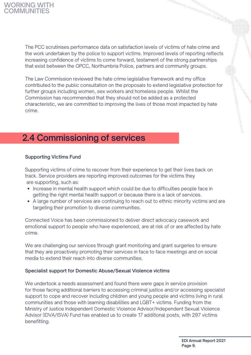The PCC scrutinises performance data on satisfaction levels of victims of hate crime and the work undertaken by the police to support victims. Improved levels of reporting reflects increasing confidence of victims to come forward, testament of the strong partnerships that exist between the OPCC, Northumbria Police, partners and community groups.

The Law Commission reviewed the hate crime legislative framework and my office contributed to the public consultation on the proposals to extend legislative protection for further groups including women, sex workers and homeless people. Whilst the Commission has recommended that they should not be added as a protected characteristic, we are committed to improving the lives of those most impacted by hate crime.

# **2.4 Commissioning of services**

### Supporting Victims Fund

Supporting victims of crime to recover from their experience to get their lives back on track. Service providers are reporting improved outcomes for the victims they are supporting, such as:

- Increase in mental health support which could be due to difficulties people face in getting the right mental health support or because there is a lack of services.
- A large number of services are continuing to reach out to ethnic minority victims and are targeting their promotion to diverse communities.

Connected Voice has been commissioned to deliver direct advocacy casework and emotional support to people who have experienced, are at risk of or are affected by hate crime.

We are challenging our services through grant monitoring and grant surgeries to ensure that they are proactively promoting their services in face to face meetings and on social media to extend their reach into diverse communities.

### Specialist support for Domestic Abuse/Sexual Violence victims

We undertook a needs assessment and found there were gaps in service provision for those facing additional barriers to accessing criminal justice and/or accessing specialist support to cope and recover including children and young people and victims living in rural communities and those with learning disabilities and LGBT+ victims. Funding from the Ministry of Justice Independent Domestic Violence Advisor/Independent Sexual Violence Advisor (IDVA/ISVA) Fund has enabled us to create 17 additional posts, with 297 victims benefitting.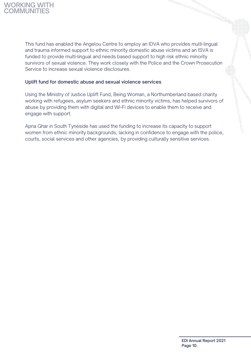

This fund has enabled the Angelou Centre to employ an IDVA who provides multi-lingual and trauma informed support to ethnic minority domestic abuse victims and an ISVA is funded to provide multi-lingual and needs based support to high risk ethnic minority survivors of sexual violence. They work closely with the Police and the Crown Prosecution Service to increase sexual violence disclosures.

### Uplift fund for domestic abuse and sexual violence services

Using the Ministry of Justice Uplift Fund, Being Woman, a Northumberland based charity working with refugees, asylum seekers and ethnic minority victims, has helped survivors of abuse by providing them with digital and Wi-Fi devices to enable them to receive and engage with support.

Apna Ghar in South Tyneside has used the funding to increase its capacity to support women from ethnic minority backgrounds, lacking in confidence to engage with the police, courts, social services and other agencies, by providing culturally sensitive services.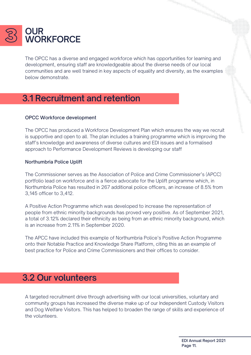

The OPCC has a diverse and engaged workforce which has opportunities for learning and development, ensuring staff are knowledgeable about the diverse needs of our local communities and are well trained in key aspects of equality and diversity, as the examples below demonstrate.

# **3.1 Recruitment and retention**

### OPCC Workforce development

The OPCC has produced a Workforce Development Plan which ensures the way we recruit is supportive and open to all. The plan includes a training programme which is improving the staff's knowledge and awareness of diverse cultures and EDI issues and a formalised approach to Performance Development Reviews is developing our staff

### Northumbria Police Uplift

The Commissioner serves as the Association of Police and Crime Commissioner's (APCC) portfolio lead on workforce and is a fierce advocate for the Uplift programme which, in Northumbria Police has resulted in 267 additional police officers, an increase of 8.5% from 3,145 officer to 3,412.

A Positive Action Programme which was developed to increase the representation of people from ethnic minority backgrounds has proved very positive. As of September 2021, a total of 3.12% declared their ethnicity as being from an ethnic minority background, which is an increase from 2.11% in September 2020.

The APCC have included this example of Northumbria Police's Positive Action Programme onto their Notable Practice and Knowledge Share Platform, citing this as an example of best practice for Police and Crime Commissioners and their offices to consider.

### **3.2 Our volunteers**

A targeted recruitment drive through advertising with our local universities, voluntary and community groups has increased the diverse make up of our Independent Custody Visitors and Dog Welfare Visitors. This has helped to broaden the range of skills and experience of the volunteers.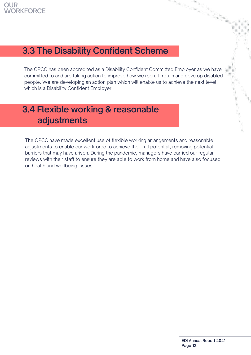

# **3.3 The Disability Confident Scheme**

The OPCC has been accredited as a Disability Confident Committed Employer as we have committed to and are taking action to improve how we recruit, retain and develop disabled people. We are developing an action plan which will enable us to achieve the next level, which is a Disability Confident Employer.

# **3.4 Flexible working & reasonable adjustments**

The OPCC have made excellent use of flexible working arrangements and reasonable adjustments to enable our workforce to achieve their full potential, removing potential barriers that may have arisen. During the pandemic, managers have carried our regular reviews with their staff to ensure they are able to work from home and have also focused on health and wellbeing issues.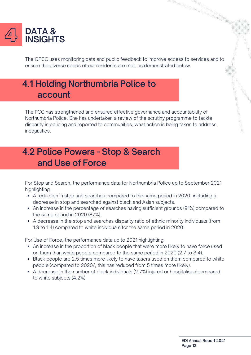

The OPCC uses monitoring data and public feedback to improve access to services and to ensure the diverse needs of our residents are met, as demonstrated below.

# **4.1 Holding Northumbria Police to account**

The PCC has strengthened and ensured effective governance and accountability of Northumbria Police. She has undertaken a review of the scrutiny programme to tackle disparity in policing and reported to communities, what action is being taken to address inequalities.

# **4.2 Police Powers - Stop & Search and Use of Force**

For Stop and Search, the performance data for Northumbria Police up to September 2021 highlighting:

- A reduction in stop and searches compared to the same period in 2020, including a decrease in stop and searched against black and Asian subjects.
- An increase in the percentage of searches having sufficient grounds (91%) compared to the same period in 2020 (87%).
- A decrease in the stop and searches disparity ratio of ethnic minority individuals (from 1.9 to 1.4) compared to white individuals for the same period in 2020.

For Use of Force, the performance data up to 2021 highlighting:

- An increase in the proportion of black people that were more likely to have force used on them than white people compared to the same period in 2020 (2.7 to 3.4).
- Black people are 2.5 times more likely to have tasers used on them compared to white people (compared to 2020/, this has reduced from 5 times more likely).
- A decrease in the number of black individuals (2.7%) injured or hospitalised compared to white subjects (4.2%)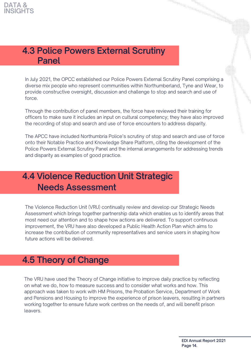# **4.3 Police Powers External Scrutiny Panel**

In July 2021, the OPCC established our Police Powers External Scrutiny Panel comprising a diverse mix people who represent communities within Northumberland, Tyne and Wear, to provide constructive oversight, discussion and challenge to stop and search and use of force.

Through the contribution of panel members, the force have reviewed their training for officers to make sure it includes an input on cultural competency; they have also improved the recording of stop and search and use of force encounters to address disparity.

The APCC have included Northumbria Police's scrutiny of stop and search and use of force onto their Notable Practice and Knowledge Share Platform, citing the development of the Police Powers External Scrutiny Panel and the internal arrangements for addressing trends and disparity as examples of good practice.

# **4.4 Violence Reduction Unit Strategic Needs Assessment**

The Violence Reduction Unit (VRU) continually review and develop our Strategic Needs Assessment which brings together partnership data which enables us to identify areas that most need our attention and to shape how actions are delivered. To support continuous improvement, the VRU have also developed a Public Health Action Plan which aims to increase the contribution of community representatives and service users in shaping how future actions will be delivered.

# **4.5 Theory of Change**

The VRU have used the Theory of Change initiative to improve daily practice by reflecting on what we do, how to measure success and to consider what works and how. This approach was taken to work with HM Prisons, the Probation Service, Department of Work and Pensions and Housing to improve the experience of prison leavers, resulting in partners working together to ensure future work centres on the needs of, and will benefit prison leavers.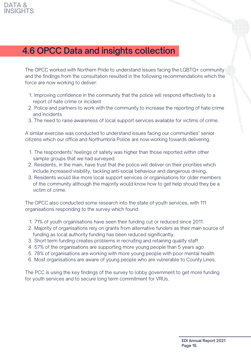

# **4.6 OPCC Data and insights collection**

The OPCC worked with Northern Pride to understand issues facing the LGBTQ+ community and the findings from the consultation resulted in the following recommendations which the force are now working to deliver:

- 1. Improving confidence in the community that the police will respond effectively to a report of hate crime or incident
- 2. Police and partners to work with the community to increase the reporting of hate crime and incidents
- 3. The need to raise awareness of local support services available for victims of crime.

A similar exercise was conducted to understand issues facing our communities' senior citizens which our office and Northumbria Police are now working towards delivering.

- 1. The respondents' feelings of safety was higher than those reported within other sample groups that we had surveyed.
- 2. Residents, in the main, have trust that the police will deliver on their priorities which include increased visibility, tackling anti-social behaviour and dangerous driving.
- 3. Residents would like more local support services or organisations for older members of the community although the majority would know how to get help should they be a victim of crime.

The OPCC also conducted some research into the state of youth services, with 111 organisations responding to the survey which found:

- 71% of youth organisations have seen their funding cut or reduced since 2011. 1.
- Majority of organisations rely on grants from alternative funders as their main source of 2. funding as local authority funding has been reduced significantly.
- 3. Short term funding creates problems in recruiting and retaining quality staff.
- 57% of the organisations are supporting more young people than 5 years ago 4.
- 78% of organisations are working with more young people with poor mental health. 5.
- Most organisations are aware of young people who are vulnerable to County Lines. 6.

The PCC is using the key findings of the survey to lobby government to get more funding for youth services and to secure long term commitment for VRUs.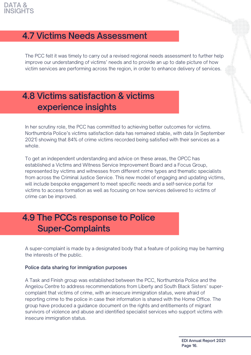

# **4.7 Victims Needs Assessment**

The PCC felt it was timely to carry out a revised regional needs assessment to further help improve our understanding of victims' needs and to provide an up to date picture of how victim services are performing across the region, in order to enhance delivery of services.

# **4.8 Victims satisfaction & victims experience insights**

In her scrutiny role, the PCC has committed to achieving better outcomes for victims. Northumbria Police's victims satisfaction data has remained stable, with data (in September 2021) showing that 84% of crime victims recorded being satisfied with their services as a whole.

To get an independent understanding and advice on these areas, the OPCC has established a Victims and Witness Service Improvement Board and a Focus Group, represented by victims and witnesses from different crime types and thematic specialists from across the Criminal Justice Service. This new model of engaging and updating victims, will include bespoke engagement to meet specific needs and a self-service portal for victims to access formation as well as focusing on how services delivered to victims of crime can be improved.

# **4.9 The PCCs response to Police Super-Complaints**

A super-complaint is made by a designated body that a feature of policing may be harming the interests of the public.

### Police data sharing for immigration purposes

A Task and Finish group was established between the PCC, Northumbria Police and the Angelou Centre to address recommendations from Liberty and South Black Sisters' supercomplaint that victims of crime, with an insecure immigration status, were afraid of reporting crime to the police in case their information is shared with the Home Office. The group have produced a guidance document on the rights and entitlements of migrant survivors of violence and abuse and identified specialist services who support victims with insecure immigration status.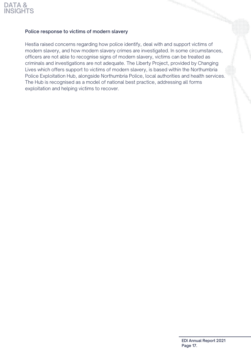

### Police response to victims of modern slavery

Hestia raised concerns regarding how police identify, deal with and support victims of modern slavery, and how modern slavery crimes are investigated. In some circumstances, officers are not able to recognise signs of modern slavery, victims can be treated as criminals and investigations are not adequate. The Liberty Project, provided by Changing Lives which offers support to victims of modern slavery, is based within the Northumbria Police Exploitation Hub, alongside Northumbria Police, local authorities and health services. The Hub is recognised as a model of national best practice, addressing all forms exploitation and helping victims to recover.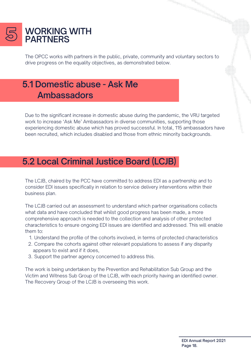

The OPCC works with partners in the public, private, community and voluntary sectors to drive progress on the equality objectives, as demonstrated below.

# **5.1 Domestic abuse - Ask Me Ambassadors**

Due to the significant increase in domestic abuse during the pandemic, the VRU targeted work to increase 'Ask Me' Ambassadors in diverse communities, supporting those experiencing domestic abuse which has proved successful. In total, 115 ambassadors have been recruited, which includes disabled and those from ethnic minority backgrounds.

# **5.2 Local Criminal Justice Board (LCJB)**

The LCJB, chaired by the PCC have committed to address EDI as a partnership and to consider EDI issues specifically in relation to service delivery interventions within their business plan.

The LCJB carried out an assessment to understand which partner organisations collects what data and have concluded that whilst good progress has been made, a more comprehensive approach is needed to the collection and analysis of other protected characteristics to ensure ongoing EDI issues are identified and addressed. This will enable them to:

- 1. Understand the profile of the cohorts involved, in terms of protected characteristics
- 2. Compare the cohorts against other relevant populations to assess if any disparity appears to exist and if it does,
- Support the partner agency concerned to address this. 3.

The work is being undertaken by the Prevention and Rehabilitation Sub Group and the Victim and Witness Sub Group of the LCJB, with each priority having an identified owner. The Recovery Group of the LCJB is overseeing this work.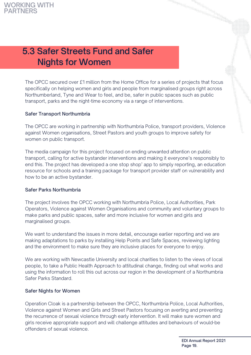# **5.3 Safer Streets Fund and Safer Nights for Women**

The OPCC secured over £1 million from the Home Office for a series of projects that focus specifically on helping women and girls and people from marginalised groups right across Northumberland, Tyne and Wear to feel, and be, safer in public spaces such as public transport, parks and the night-time economy via a range of interventions.

### Safer Transport Northumbria

The OPCC are working in partnership with Northumbria Police, transport providers, Violence against Women organisations, Street Pastors and youth groups to improve safety for women on public transport.

The media campaign for this project focused on ending unwanted attention on public transport, calling for active bystander interventions and making it everyone's responsibly to end this. The project has developed a one stop shop' app to simply reporting, an education resource for schools and a training package for transport provider staff on vulnerability and how to be an active bystander.

### Safer Parks Northumbria

The project involves the OPCC working with Northumbria Police, Local Authorities, Park Operators, Violence against Women Organisations and community and voluntary groups to make parks and public spaces, safer and more inclusive for women and girls and marginalised groups.

We want to understand the issues in more detail, encourage earlier reporting and we are making adaptations to parks by installing Help Points and Safe Spaces, reviewing lighting and the environment to make sure they are inclusive places for everyone to enjoy.

We are working with Newcastle University and local charities to listen to the views of local people, to take a Public Health Approach to attitudinal change, finding out what works and using the information to roll this out across our region in the development of a Northumbria Safer Parks Standard.

### Safer Nights for Women

Operation Cloak is a partnership between the OPCC, Northumbria Police, Local Authorities, Violence against Women and Girls and Street Pastors focusing on averting and preventing the recurrence of sexual violence through early intervention. It will make sure women and girls receive appropriate support and will challenge attitudes and behaviours of would-be offenders of sexual violence.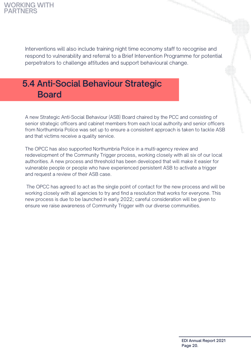### **WORKING WITH PARTNERS**

Interventions will also include training night time economy staff to recognise and respond to vulnerability and referral to a Brief Intervention Programme for potential perpetrators to challenge attitudes and support behavioural change.

# **5.4 Anti-Social Behaviour Strategic Board**

A new Strategic Anti-Social Behaviour (ASB) Board chaired by the PCC and consisting of senior strategic officers and cabinet members from each local authority and senior officers from Northumbria Police was set up to ensure a consistent approach is taken to tackle ASB and that victims receive a quality service.

The OPCC has also supported Northumbria Police in a multi-agency review and redevelopment of the Community Trigger process, working closely with all six of our local authorities. A new process and threshold has been developed that will make it easier for vulnerable people or people who have experienced persistent ASB to activate a trigger and request a review of their ASB case.

The OPCC has agreed to act as the single point of contact for the new process and will be working closely with all agencies to try and find a resolution that works for everyone. This new process is due to be launched in early 2022; careful consideration will be given to ensure we raise awareness of Community Trigger with our diverse communities.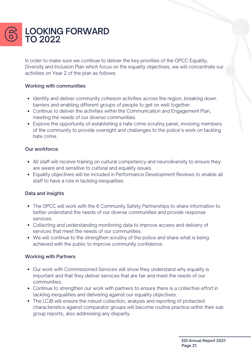

In order to make sure we continue to deliver the key priorities of the OPCC Equality, Diversity and Inclusion Plan which focus on the equality objectives, we will concentrate our activities on Year 2 of the plan as follows:

### Working with communities

- Identify and deliver community cohesion activities across the region, breaking down barriers and enabling different groups of people to get on well together.
- Continue to deliver the activities within the Communication and Engagement Plan, meeting the needs of our diverse communities.
- Explore the opportunity of establishing a hate crime scrutiny panel, involving members of the community to provide oversight and challenges to the police's work on tackling hate crime.

### Our workforce

- All staff will receive training on cultural competency and neurodiversity to ensure they are aware and sensitive to cultural and equality issues.
- Equality objectives will be included in Performance Development Reviews to enable all staff to have a role in tackling inequalities.

### Data and insights

- The OPCC will work with the 6 Community Safety Partnerships to share information to better understand the needs of our diverse communities and provide response services.
- Collecting and understanding monitoring data to improve access and delivery of services that meet the needs of our communities.
- We will continue to the strengthen scrutiny of the police and share what is being achieved with the public to improve community confidence.

### Working with Partners

- Our work with Commissioned Services will show they understand why equality is important and that they deliver services that are fair and meet the needs of our communities.
- Continue to strengthen our work with partners to ensure there is a collective effort in tackling inequalities and delivering against our equality objectives.
- The LCJB will ensure the robust collection, analysis and reporting of protected characteristics against comparator groups will become routine practice within their sub group reports, also addressing any disparity.